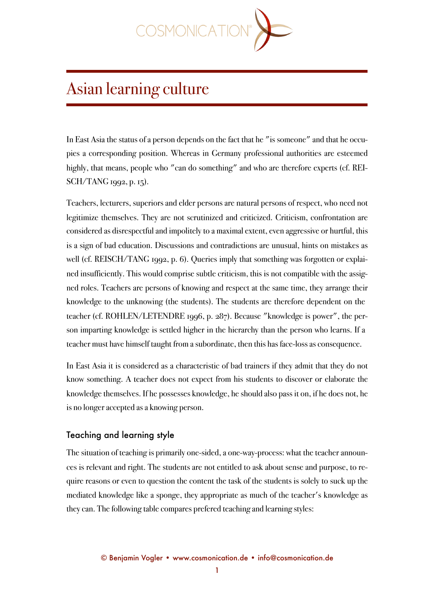

# Asian learning culture

In East Asia the status of a person depends on the fact that he "is someone" and that he occupies a corresponding position. Whereas in Germany professional authorities are esteemed highly, that means, people who "can do something" and who are therefore experts (cf. REI-SCH/TANG 1992, p. 15).

Teachers, lecturers, superiors and elder persons are natural persons of respect, who need not legitimize themselves. They are not scrutinized and criticized. Criticism, confrontation are considered as disrespectful and impolitely to a maximal extent, even aggressive or hurtful, this is a sign of bad education. Discussions and contradictions are unusual, hints on mistakes as well (cf. REISCH/TANG 1992, p. 6). Queries imply that something was forgotten or explained insufficiently. This would comprise subtle criticism, this is not compatible with the assigned roles. Teachers are persons of knowing and respect at the same time, they arrange their knowledge to the unknowing (the students). The students are therefore dependent on the teacher (cf. ROHLEN/LETENDRE 1996, p. 287). Because "knowledge is power", the person imparting knowledge is settled higher in the hierarchy than the person who learns. If a teacher must have himself taught from a subordinate, then this has face-loss as consequence.

In East Asia it is considered as a characteristic of bad trainers if they admit that they do not know something. A teacher does not expect from his students to discover or elaborate the knowledge themselves. If he possesses knowledge, he should also pass it on, if he does not, he is no longer accepted as a knowing person.

## Teaching and learning style

The situation of teaching is primarily one-sided, a one-way-process: what the teacher announces is relevant and right. The students are not entitled to ask about sense and purpose, to require reasons or even to question the content the task of the students is solely to suck up the mediated knowledge like a sponge, they appropriate as much of the teacher's knowledge as they can. The following table compares prefered teaching and learning styles: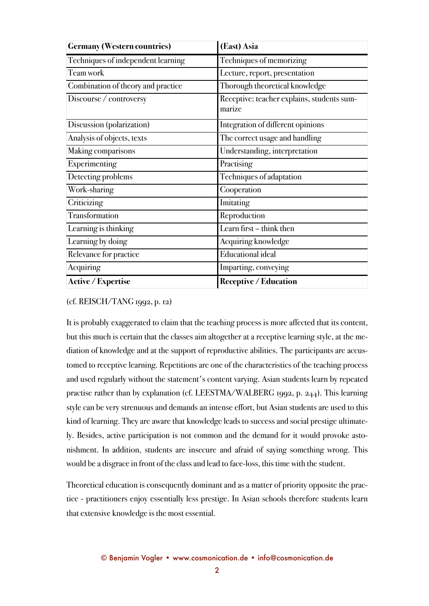| <b>Germany (Western countries)</b> | (East) Asia                                          |
|------------------------------------|------------------------------------------------------|
| Techniques of independent learning | Techniques of memorizing                             |
| Team work                          | Lecture, report, presentation                        |
| Combination of theory and practice | Thorough theoretical knowledge                       |
| Discourse / controversy            | Receptive: teacher explains, students sum-<br>marize |
| Discussion (polarization)          | Integration of different opinions                    |
| Analysis of objects, texts         | The correct usage and handling                       |
| Making comparisons                 | Understanding, interpretation                        |
| Experimenting                      | Practising                                           |
| Detecting problems                 | Techniques of adaptation                             |
| Work-sharing                       | Cooperation                                          |
| Criticizing                        | Imitating                                            |
| Transformation                     | Reproduction                                         |
| Learning is thinking               | Learn first – think then                             |
| Learning by doing                  | Acquiring knowledge                                  |
| Relevance for practice             | <b>Educational ideal</b>                             |
| Acquiring                          | Imparting, conveying                                 |
| <b>Active / Expertise</b>          | <b>Receptive / Education</b>                         |

#### (cf. REISCH/TANG 1992, p. 12)

It is probably exaggerated to claim that the teaching process is more affected that its content, but this much is certain that the classes aim altogether at a receptive learning style, at the mediation of knowledge and at the support of reproductive abilities. The participants are accustomed to receptive learning. Repetitions are one of the characteristics of the teaching process and used regularly without the statement's content varying. Asian students learn by repeated practise rather than by explanation (cf. LEESTMA/WALBERG 1992, p. 244). This learning style can be very strenuous and demands an intense effort, but Asian students are used to this kind of learning. They are aware that knowledge leads to success and social prestige ultimately. Besides, active participation is not common and the demand for it would provoke astonishment. In addition, students are insecure and afraid of saying something wrong. This would be a disgrace in front of the class and lead to face-loss, this time with the student.

Theoretical education is consequently dominant and as a matter of priority opposite the practice - practitioners enjoy essentially less prestige. In Asian schools therefore students learn that extensive knowledge is the most essential.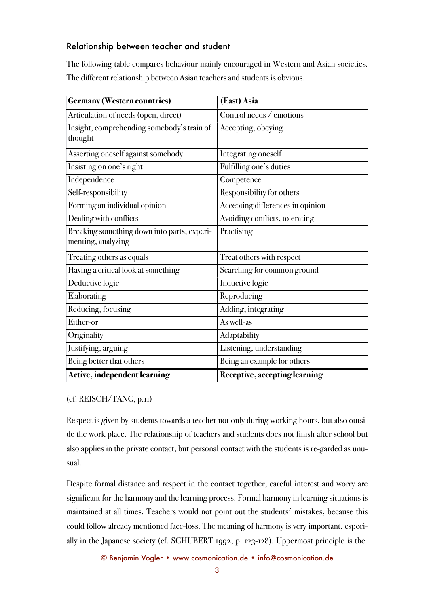## Relationship between teacher and student

The following table compares behaviour mainly encouraged in Western and Asian societies. The different relationship between Asian teachers and students is obvious.

| <b>Germany (Western countries)</b>          | (East) Asia                      |
|---------------------------------------------|----------------------------------|
| Articulation of needs (open, direct)        | Control needs / emotions         |
| Insight, comprehending somebody's train of  | Accepting, obeying               |
| thought                                     |                                  |
| Asserting oneself against somebody          | Integrating oneself              |
| Insisting on one's right                    | Fulfilling one's duties          |
| Independence                                | Competence                       |
| Self-responsibility                         | Responsibility for others        |
| Forming an individual opinion               | Accepting differences in opinion |
| Dealing with conflicts                      | Avoiding conflicts, tolerating   |
| Breaking something down into parts, experi- | Practising                       |
| menting, analyzing                          |                                  |
| Treating others as equals                   | Treat others with respect        |
| Having a critical look at something         | Searching for common ground      |
| Deductive logic                             | Inductive logic                  |
| Elaborating                                 | Reproducing                      |
| Reducing, focusing                          | Adding, integrating              |
| Either-or                                   | As well-as                       |
| Originality                                 | Adaptability                     |
| Justifying, arguing                         | Listening, understanding         |
| Being better that others                    | Being an example for others      |
| Active, independent learning                | Receptive, accepting learning    |

#### (cf. REISCH/TANG, p.11)

Respect is given by students towards a teacher not only during working hours, but also outside the work place. The relationship of teachers and students does not finish after school but also applies in the private contact, but personal contact with the students is re-garded as unusual.

Despite formal distance and respect in the contact together, careful interest and worry are significant for the harmony and the learning process. Formal harmony in learning situations is maintained at all times. Teachers would not point out the students' mistakes, because this could follow already mentioned face-loss. The meaning of harmony is very important, especially in the Japanese society (cf. SCHUBERT 1992, p. 123-128). Uppermost principle is the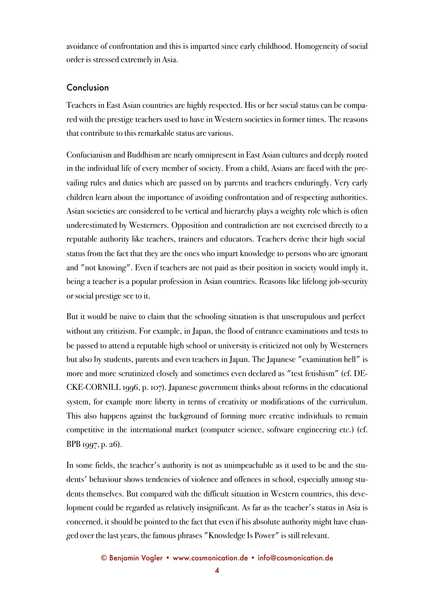avoidance of confrontation and this is imparted since early childhood. Homogeneity of social order is stressed extremely in Asia.

### Conclusion

Teachers in East Asian countries are highly respected. His or her social status can be compared with the prestige teachers used to have in Western societies in former times. The reasons that contribute to this remarkable status are various.

Confucianism and Buddhism are nearly omnipresent in East Asian cultures and deeply rooted in the individual life of every member of society. From a child, Asians are faced with the prevailing rules and duties which are passed on by parents and teachers enduringly. Very early children learn about the importance of avoiding confrontation and of respecting authorities. Asian societies are considered to be vertical and hierarchy plays a weighty role which is often underestimated by Westerners. Opposition and contradiction are not exercised directly to a reputable authority like teachers, trainers and educators. Teachers derive their high social status from the fact that they are the ones who impart knowledge to persons who are ignorant and "not knowing". Even if teachers are not paid as their position in society would imply it, being a teacher is a popular profession in Asian countries. Reasons like lifelong job-security or social prestige see to it.

But it would be naive to claim that the schooling situation is that unscrupulous and perfect without any critizism. For example, in Japan, the flood of entrance examinations and tests to be passed to attend a reputable high school or university is criticized not only by Westerners but also by students, parents and even teachers in Japan. The Japanese "examination hell" is more and more scrutinized closely and sometimes even declared as "test fetishism" (cf. DE-CKE-CORNILL 1996, p. 107). Japanese government thinks about reforms in the educational system, for example more liberty in terms of creativity or modifications of the curriculum. This also happens against the background of forming more creative individuals to remain competitive in the international market (computer science, software engineering etc.) (cf. BPB 1997, p. 26).

In some fields, the teacher's authority is not as unimpeachable as it used to be and the students' behaviour shows tendencies of violence and offences in school, especially among students themselves. But compared with the difficult situation in Western countries, this development could be regarded as relatively insignificant. As far as the teacher's status in Asia is concerned, it should be pointed to the fact that even if his absolute authority might have changed over the last years, the famous phrases "Knowledge Is Power" is still relevant.